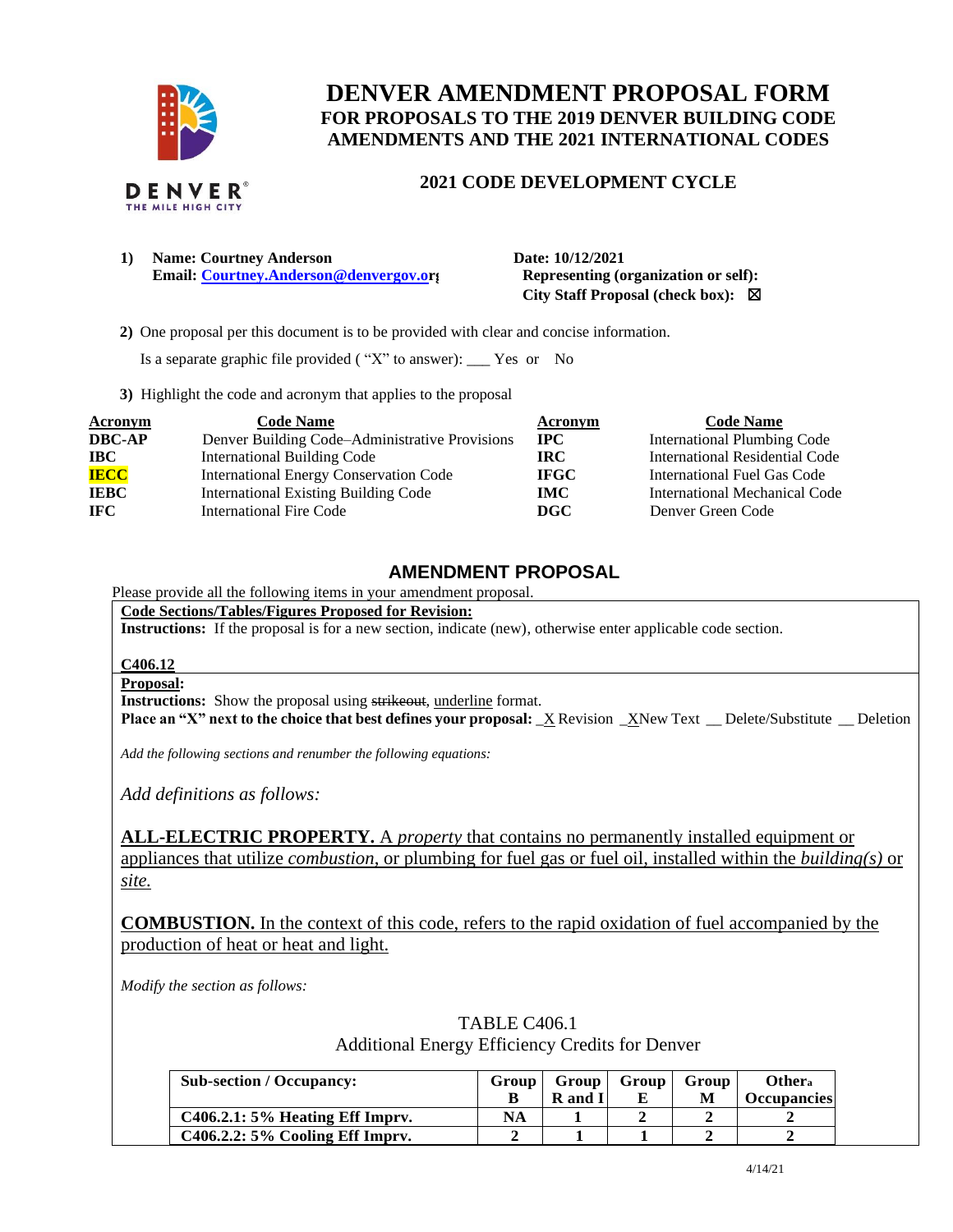

## **DENVER AMENDMENT PROPOSAL FORM FOR PROPOSALS TO THE 2019 DENVER BUILDING CODE AMENDMENTS AND THE 2021 INTERNATIONAL CODES**

## **2021 CODE DEVELOPMENT CYCLE**

**1) Name: Courtney Anderson Date: 10/12/2021 Email: [Courtney.Anderson@denvergov.or](mailto:Courtney.Anderson@denvergov.o)j** Representing (organization or self):

 **City Staff Proposal (check box):** ☒

 **2)** One proposal per this document is to be provided with clear and concise information.

Is a separate graphic file provided ( "X" to answer): \_\_\_ Yes or No

**3)** Highlight the code and acronym that applies to the proposal

| <b>Acronym</b> | <b>Code Name</b>                               | Acronym     | <b>Code Name</b>                      |
|----------------|------------------------------------------------|-------------|---------------------------------------|
| <b>DBC-AP</b>  | Denver Building Code–Administrative Provisions | $\bf{IPC}$  | <b>International Plumbing Code</b>    |
| <b>IBC</b>     | International Building Code                    | IRC.        | <b>International Residential Code</b> |
| <b>IECC</b>    | <b>International Energy Conservation Code</b>  | <b>IFGC</b> | International Fuel Gas Code           |
| <b>IEBC</b>    | <b>International Existing Building Code</b>    | IMC .       | International Mechanical Code         |
| <b>IFC</b>     | International Fire Code                        | DGC.        | Denver Green Code                     |

## **AMENDMENT PROPOSAL**

## Please provide all the following items in your amendment proposal.

**Code Sections/Tables/Figures Proposed for Revision:**

**Instructions:** If the proposal is for a new section, indicate (new), otherwise enter applicable code section.

### **C406.12**

#### **Proposal:**

**Instructions:** Show the proposal using strikeout, underline format.

**Place an "X" next to the choice that best defines your proposal:** \_X Revision \_XNew Text \_\_ Delete/Substitute \_\_ Deletion

*Add the following sections and renumber the following equations:* 

*Add definitions as follows:*

**ALL-ELECTRIC PROPERTY.** A *property* that contains no permanently installed equipment or appliances that utilize *combustion*, or plumbing for fuel gas or fuel oil*,* installed within the *building(s)* or *site.*

**COMBUSTION.** In the context of this code, refers to the rapid oxidation of fuel accompanied by the production of heat or heat and light.

*Modify the section as follows:* 

| Additional Energy Efficiency Credits for Denver |       |              |       |       |                    |
|-------------------------------------------------|-------|--------------|-------|-------|--------------------|
| <b>Sub-section / Occupancy:</b>                 | Group | <b>Group</b> | Group | Group | Other <sub>a</sub> |
|                                                 |       | R and I      |       |       | Occupancies        |
| $C406.2.1: 5%$ Heating Eff Imprv.               | NA    |              |       |       |                    |
| $C406.2.2: 5\%$ Cooling Eff Imprv.              |       |              |       |       |                    |

# TABLE C406.1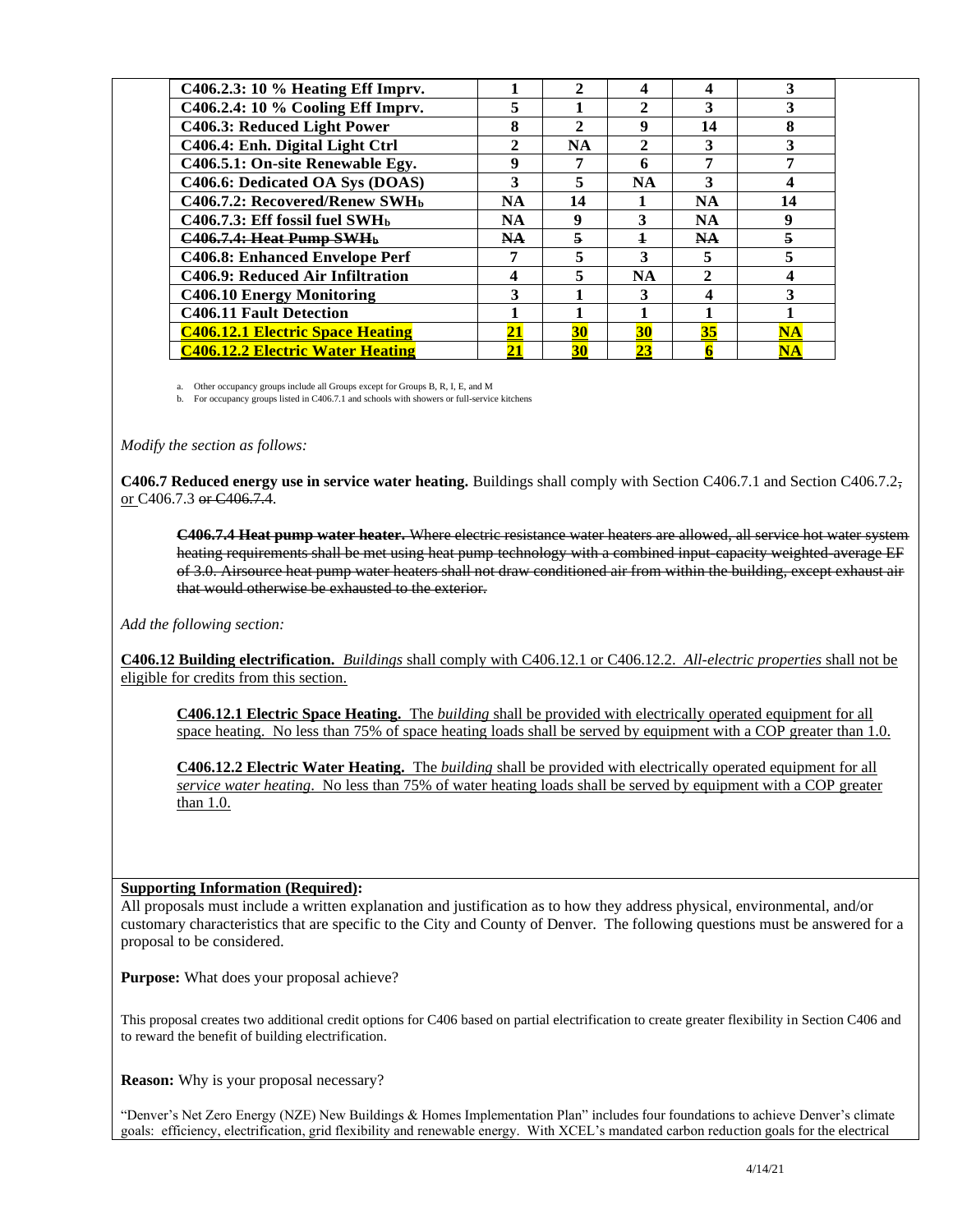| C406.2.3: 10 % Heating Eff Imprv.             |              | $\mathbf{2}$ | Δ            | 4                           |                        |
|-----------------------------------------------|--------------|--------------|--------------|-----------------------------|------------------------|
| C406.2.4: 10 % Cooling Eff Imprv.             | 5            |              | $\mathbf{2}$ | 3                           |                        |
| C406.3: Reduced Light Power                   | 8            | $\mathbf{2}$ | 9            | 14                          |                        |
| C406.4: Enh. Digital Light Ctrl               | $\mathbf{2}$ | NA           | 2            | 3                           |                        |
| C406.5.1: On-site Renewable Egy.              | 9            | 7            | 6            | ៗ                           |                        |
| C406.6: Dedicated OA Sys (DOAS)               | 3            | 5            | <b>NA</b>    | 3                           |                        |
| C406.7.2: Recovered/Renew SWH <sub>b</sub>    | <b>NA</b>    | 14           |              | <b>NA</b>                   | 14                     |
| $C406.7.3$ : Eff fossil fuel SWH <sub>b</sub> | <b>NA</b>    | 9            | 3            | <b>NA</b>                   |                        |
| C406.7.4: Heat Pump SWHb                      | NA           | 5            | $\mathbf{1}$ | <b>NA</b>                   |                        |
| C406.8: Enhanced Envelope Perf                |              |              | 3            | 5                           |                        |
| C406.9: Reduced Air Infiltration              | 4            |              | <b>NA</b>    | $\mathcal{D}_{\mathcal{A}}$ |                        |
| <b>C406.10 Energy Monitoring</b>              |              |              | 3            | 4                           |                        |
| <b>C406.11 Fault Detection</b>                |              |              |              |                             |                        |
| <b>C406.12.1 Electric Space Heating</b>       | 21           | 30           | 30           | 35                          | $\overline{\text{NA}}$ |
| <b>C406.12.2 Electric Water Heating</b>       | 21           | 30           | 23           |                             | $\mathbf{N}\mathbf{A}$ |

a. Other occupancy groups include all Groups except for Groups B, R, I, E, and M

b. For occupancy groups listed in C406.7.1 and schools with showers or full-service kitchens

*Modify the section as follows:* 

**C406.7 Reduced energy use in service water heating.** Buildings shall comply with Section C406.7.1 and Section C406.7.2, or C406.7.3 or C406.7.4.

**C406.7.4 Heat pump water heater.** Where electric resistance water heaters are allowed, all service hot water system heating requirements shall be met using heat pump technology with a combined input-capacity weighted average EF of 3.0. Airsource heat pump water heaters shall not draw conditioned air from within the building, except exhaust air that would otherwise be exhausted to the exterior.

*Add the following section:* 

**C406.12 Building electrification.** *Buildings* shall comply with C406.12.1 or C406.12.2. *All-electric properties* shall not be eligible for credits from this section.

**C406.12.1 Electric Space Heating.** The *building* shall be provided with electrically operated equipment for all space heating. No less than 75% of space heating loads shall be served by equipment with a COP greater than 1.0.

**C406.12.2 Electric Water Heating.** The *building* shall be provided with electrically operated equipment for all *service water heating*. No less than 75% of water heating loads shall be served by equipment with a COP greater than 1.0.

### **Supporting Information (Required):**

All proposals must include a written explanation and justification as to how they address physical, environmental, and/or customary characteristics that are specific to the City and County of Denver. The following questions must be answered for a proposal to be considered.

**Purpose:** What does your proposal achieve?

This proposal creates two additional credit options for C406 based on partial electrification to create greater flexibility in Section C406 and to reward the benefit of building electrification.

**Reason:** Why is your proposal necessary?

"Denver's Net Zero Energy (NZE) New Buildings & Homes Implementation Plan" includes four foundations to achieve Denver's climate goals: efficiency, electrification, grid flexibility and renewable energy. With XCEL's mandated carbon reduction goals for the electrical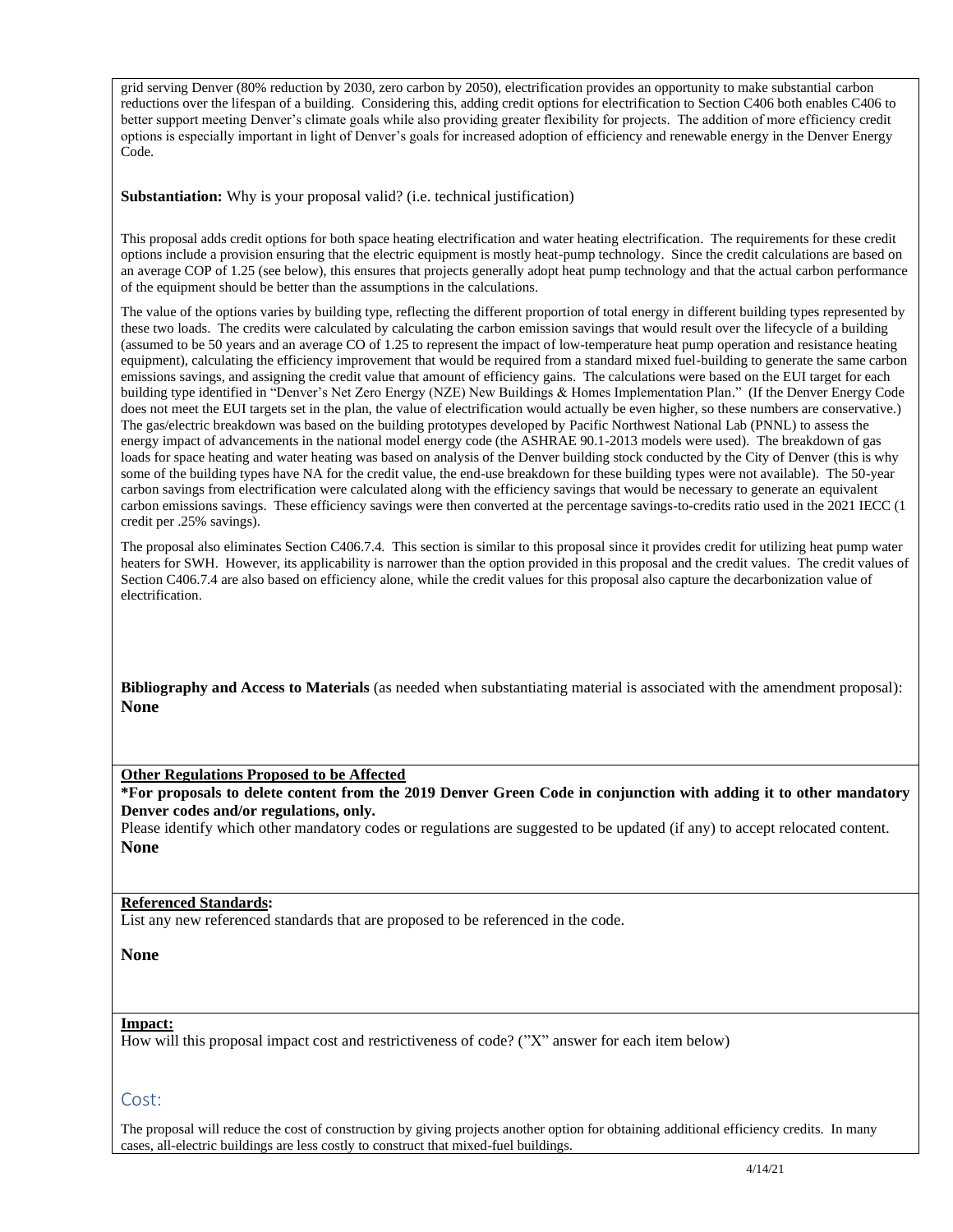grid serving Denver (80% reduction by 2030, zero carbon by 2050), electrification provides an opportunity to make substantial carbon reductions over the lifespan of a building. Considering this, adding credit options for electrification to Section C406 both enables C406 to better support meeting Denver's climate goals while also providing greater flexibility for projects. The addition of more efficiency credit options is especially important in light of Denver's goals for increased adoption of efficiency and renewable energy in the Denver Energy Code.

**Substantiation:** Why is your proposal valid? (i.e. technical justification)

This proposal adds credit options for both space heating electrification and water heating electrification. The requirements for these credit options include a provision ensuring that the electric equipment is mostly heat-pump technology. Since the credit calculations are based on an average COP of 1.25 (see below), this ensures that projects generally adopt heat pump technology and that the actual carbon performance of the equipment should be better than the assumptions in the calculations.

The value of the options varies by building type, reflecting the different proportion of total energy in different building types represented by these two loads. The credits were calculated by calculating the carbon emission savings that would result over the lifecycle of a building (assumed to be 50 years and an average CO of 1.25 to represent the impact of low-temperature heat pump operation and resistance heating equipment), calculating the efficiency improvement that would be required from a standard mixed fuel-building to generate the same carbon emissions savings, and assigning the credit value that amount of efficiency gains. The calculations were based on the EUI target for each building type identified in "Denver's Net Zero Energy (NZE) New Buildings & Homes Implementation Plan." (If the Denver Energy Code does not meet the EUI targets set in the plan, the value of electrification would actually be even higher, so these numbers are conservative.) The gas/electric breakdown was based on the building prototypes developed by Pacific Northwest National Lab (PNNL) to assess the energy impact of advancements in the national model energy code (the ASHRAE 90.1-2013 models were used). The breakdown of gas loads for space heating and water heating was based on analysis of the Denver building stock conducted by the City of Denver (this is why some of the building types have NA for the credit value, the end-use breakdown for these building types were not available). The 50-year carbon savings from electrification were calculated along with the efficiency savings that would be necessary to generate an equivalent carbon emissions savings. These efficiency savings were then converted at the percentage savings-to-credits ratio used in the 2021 IECC (1 credit per .25% savings).

The proposal also eliminates Section C406.7.4. This section is similar to this proposal since it provides credit for utilizing heat pump water heaters for SWH. However, its applicability is narrower than the option provided in this proposal and the credit values. The credit values of Section C406.7.4 are also based on efficiency alone, while the credit values for this proposal also capture the decarbonization value of electrification.

**Bibliography and Access to Materials** (as needed when substantiating material is associated with the amendment proposal): **None**

**Other Regulations Proposed to be Affected**

**\*For proposals to delete content from the 2019 Denver Green Code in conjunction with adding it to other mandatory Denver codes and/or regulations, only.**

Please identify which other mandatory codes or regulations are suggested to be updated (if any) to accept relocated content. **None**

### **Referenced Standards:**

List any new referenced standards that are proposed to be referenced in the code.

**None**

### **Impact:**

How will this proposal impact cost and restrictiveness of code? ("X" answer for each item below)

### Cost:

The proposal will reduce the cost of construction by giving projects another option for obtaining additional efficiency credits. In many cases, all-electric buildings are less costly to construct that mixed-fuel buildings.